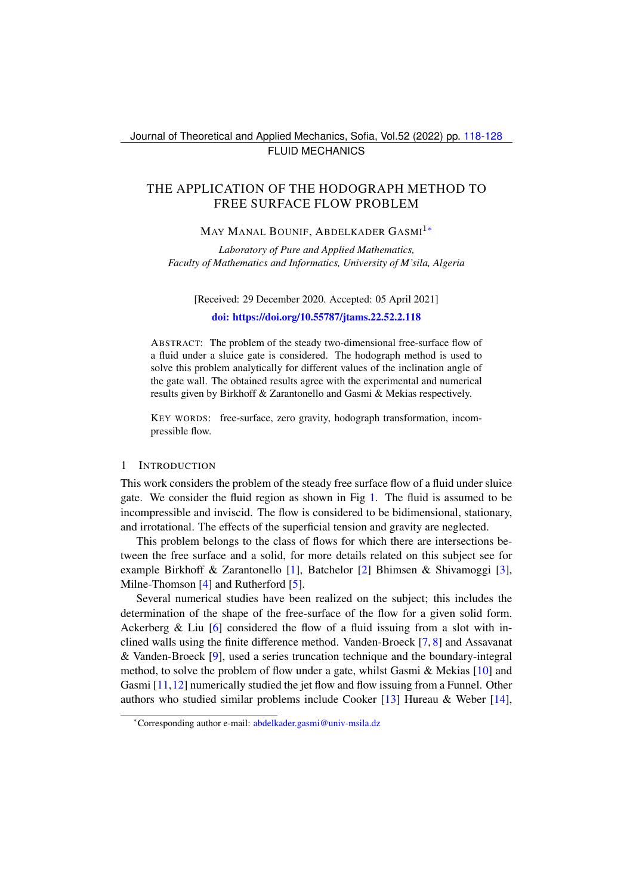Journal of Theoretical and Applied Mechanics, Sofia, Vol.52 (2022) pp. [118-](#page-0-0)[128](#page-10-0) FLUID MECHANICS

# <span id="page-0-0"></span>THE APPLICATION OF THE HODOGRAPH METHOD TO FREE SURFACE FLOW PROBLEM

## MAY MANAL BOUNIF, ABDELKADER GASMI<sup>1</sup>\*

*Laboratory of Pure and Applied Mathematics, Faculty of Mathematics and Informatics, University of M'sila, Algeria*

[Received: 29 December 2020. Accepted: 05 April 2021] [doi: https://doi.org/10.55787/jtams.22.52.2.118](https://doi.org/10.55787/jtams.22.52.2.118)

ABSTRACT: The problem of the steady two-dimensional free-surface flow of a fluid under a sluice gate is considered. The hodograph method is used to solve this problem analytically for different values of the inclination angle of the gate wall. The obtained results agree with the experimental and numerical results given by Birkhoff & Zarantonello and Gasmi & Mekias respectively.

KEY WORDS: free-surface, zero gravity, hodograph transformation, incompressible flow.

#### 1 INTRODUCTION

This work considers the problem of the steady free surface flow of a fluid under sluice gate. We consider the fluid region as shown in Fig [1.](#page-1-0) The fluid is assumed to be incompressible and inviscid. The flow is considered to be bidimensional, stationary, and irrotational. The effects of the superficial tension and gravity are neglected.

This problem belongs to the class of flows for which there are intersections between the free surface and a solid, for more details related on this subject see for example Birkhoff & Zarantonello [\[1\]](#page-10-1), Batchelor [\[2\]](#page-10-2) Bhimsen & Shivamoggi [\[3\]](#page-10-3), Milne-Thomson [\[4\]](#page-10-4) and Rutherford [\[5\]](#page-10-5).

Several numerical studies have been realized on the subject; this includes the determination of the shape of the free-surface of the flow for a given solid form. Ackerberg & Liu  $[6]$  considered the flow of a fluid issuing from a slot with inclined walls using the finite difference method. Vanden-Broeck [\[7,](#page-10-7) [8\]](#page-10-8) and Assavanat & Vanden-Broeck [\[9\]](#page-10-9), used a series truncation technique and the boundary-integral method, to solve the problem of flow under a gate, whilst Gasmi  $\&$  Mekias [\[10\]](#page-10-10) and Gasmi [\[11,](#page-10-11)[12\]](#page-10-12) numerically studied the jet flow and flow issuing from a Funnel. Other authors who studied similar problems include Cooker [\[13\]](#page-10-13) Hureau & Weber [\[14\]](#page-10-14),

<span id="page-0-1"></span><sup>∗</sup>Corresponding author e-mail: [abdelkader.gasmi@univ-msila.dz](mailto:abdelkader.gasmi@univ-msila.dz)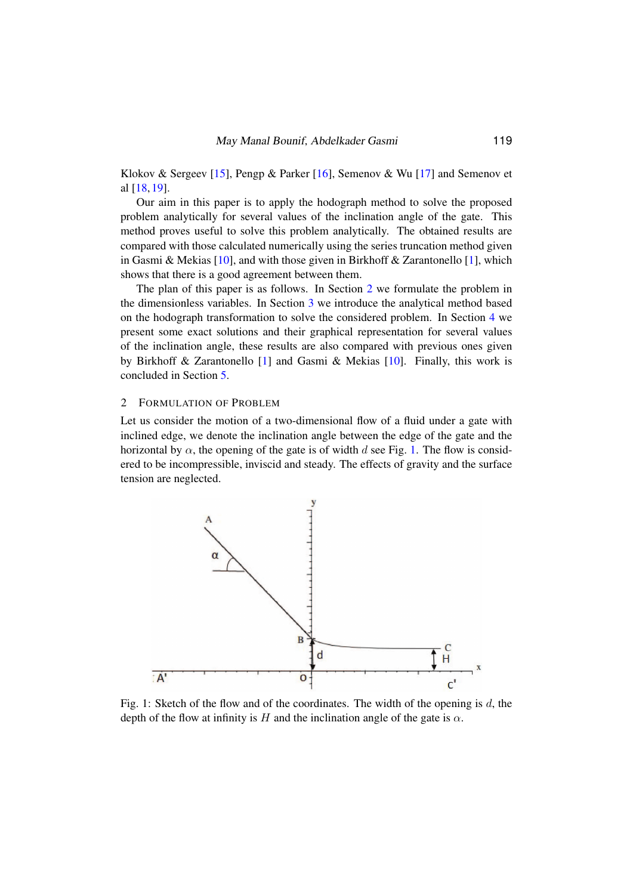Klokov & Sergeev [\[15\]](#page-10-15), Pengp & Parker [\[16\]](#page-10-16), Semenov & Wu [\[17\]](#page-10-17) and Semenov et al [\[18,](#page-10-18) [19\]](#page-10-19).

Our aim in this paper is to apply the hodograph method to solve the proposed problem analytically for several values of the inclination angle of the gate. This method proves useful to solve this problem analytically. The obtained results are compared with those calculated numerically using the series truncation method given in Gasmi & Mekias [\[10\]](#page-10-10), and with those given in Birkhoff & Zarantonello [\[1\]](#page-10-1), which shows that there is a good agreement between them.

The plan of this paper is as follows. In Section [2](#page-1-1) we formulate the problem in the dimensionless variables. In Section [3](#page-3-0) we introduce the analytical method based on the hodograph transformation to solve the considered problem. In Section [4](#page-5-0) we present some exact solutions and their graphical representation for several values of the inclination angle, these results are also compared with previous ones given by Birkhoff & Zarantonello [\[1\]](#page-10-1) and Gasmi & Mekias [\[10\]](#page-10-10). Finally, this work is concluded in Section [5.](#page-9-0)

#### <span id="page-1-1"></span>2 FORMULATION OF PROBLEM

Let us consider the motion of a two-dimensional flow of a fluid under a gate with inclined edge, we denote the inclination angle between the edge of the gate and the horizontal by  $\alpha$ , the opening of the gate is of width d see Fig. [1.](#page-1-0) The flow is considered to be incompressible, inviscid and steady. The effects of gravity and the surface tension are neglected.

<span id="page-1-0"></span>

Fig. 1: Sketch of the flow and of the coordinates. The width of the opening is d, the depth of the flow at infinity is H and the inclination angle of the gate is  $\alpha$ .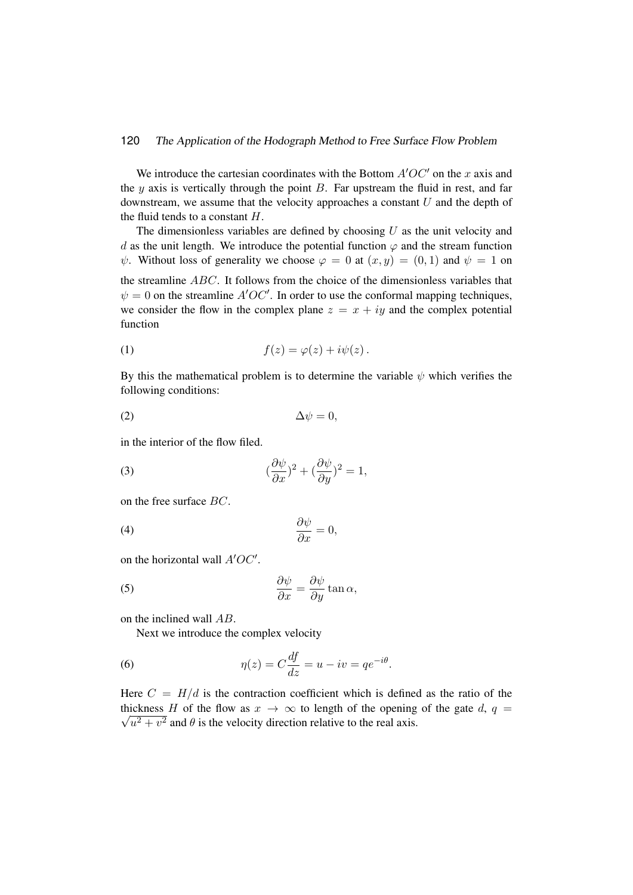#### 120 The Application of the Hodograph Method to Free Surface Flow Problem

We introduce the cartesian coordinates with the Bottom  $A'OC'$  on the x axis and the  $y$  axis is vertically through the point  $B$ . Far upstream the fluid in rest, and far downstream, we assume that the velocity approaches a constant  $U$  and the depth of the fluid tends to a constant  $H$ .

The dimensionless variables are defined by choosing  $U$  as the unit velocity and d as the unit length. We introduce the potential function  $\varphi$  and the stream function  $\psi$ . Without loss of generality we choose  $\varphi = 0$  at  $(x, y) = (0, 1)$  and  $\psi = 1$  on the streamline ABC. It follows from the choice of the dimensionless variables that

 $\psi = 0$  on the streamline  $A'OC'$ . In order to use the conformal mapping techniques, we consider the flow in the complex plane  $z = x + iy$  and the complex potential function

(1) 
$$
f(z) = \varphi(z) + i\psi(z).
$$

By this the mathematical problem is to determine the variable  $\psi$  which verifies the following conditions:

$$
\Delta \psi = 0,
$$

in the interior of the flow filed.

<span id="page-2-1"></span>(3) 
$$
(\frac{\partial \psi}{\partial x})^2 + (\frac{\partial \psi}{\partial y})^2 = 1,
$$

on the free surface BC.

<span id="page-2-2"></span>
$$
\frac{\partial \psi}{\partial x} = 0,
$$

on the horizontal wall  $A'OC'$ .

(5) 
$$
\frac{\partial \psi}{\partial x} = \frac{\partial \psi}{\partial y} \tan \alpha,
$$

on the inclined wall AB.

<span id="page-2-3"></span><span id="page-2-0"></span>Next we introduce the complex velocity

(6) 
$$
\eta(z) = C \frac{df}{dz} = u - iv = q e^{-i\theta}.
$$

Here  $C = H/d$  is the contraction coefficient which is defined as the ratio of the  $\sqrt{u^2 + v^2}$  and  $\theta$  is the velocity direction relative to the real axis. thickness H of the flow as  $x \to \infty$  to length of the opening of the gate d,  $q =$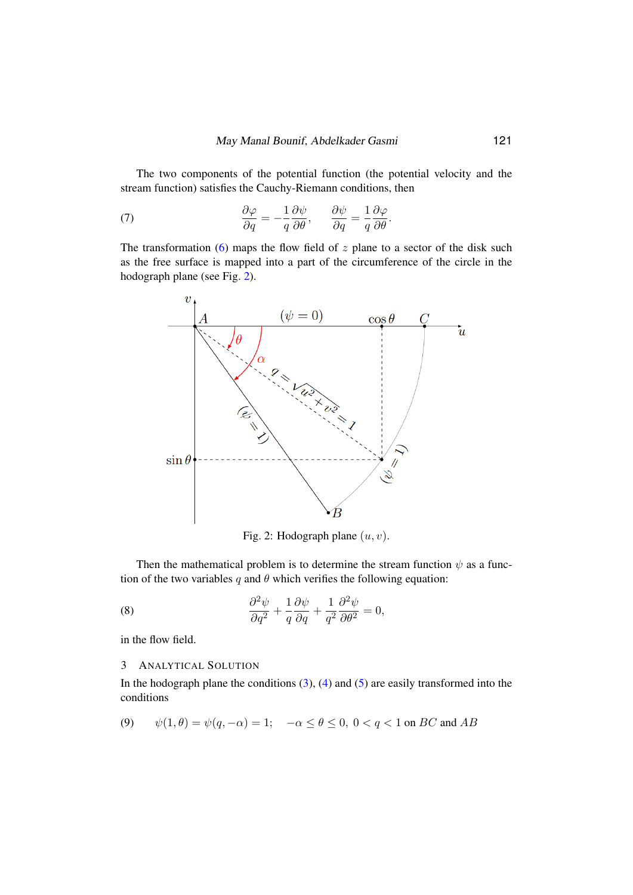The two components of the potential function (the potential velocity and the stream function) satisfies the Cauchy-Riemann conditions, then

(7) 
$$
\frac{\partial \varphi}{\partial q} = -\frac{1}{q} \frac{\partial \psi}{\partial \theta}, \qquad \frac{\partial \psi}{\partial q} = \frac{1}{q} \frac{\partial \varphi}{\partial \theta}.
$$

The transformation [\(6\)](#page-2-0) maps the flow field of  $z$  plane to a sector of the disk such as the free surface is mapped into a part of the circumference of the circle in the hodograph plane (see Fig. [2\)](#page-3-1).

<span id="page-3-4"></span><span id="page-3-1"></span>

<span id="page-3-2"></span>Fig. 2: Hodograph plane  $(u, v)$ .

Then the mathematical problem is to determine the stream function  $\psi$  as a function of the two variables q and  $\theta$  which verifies the following equation:

(8) 
$$
\frac{\partial^2 \psi}{\partial q^2} + \frac{1}{q} \frac{\partial \psi}{\partial q} + \frac{1}{q^2} \frac{\partial^2 \psi}{\partial \theta^2} = 0,
$$

in the flow field.

### <span id="page-3-0"></span>3 ANALYTICAL SOLUTION

In the hodograph plane the conditions  $(3)$ ,  $(4)$  and  $(5)$  are easily transformed into the conditions

<span id="page-3-3"></span>(9) 
$$
\psi(1,\theta) = \psi(q,-\alpha) = 1; \quad -\alpha \le \theta \le 0, \ 0 < q < 1 \text{ on } BC \text{ and } AB
$$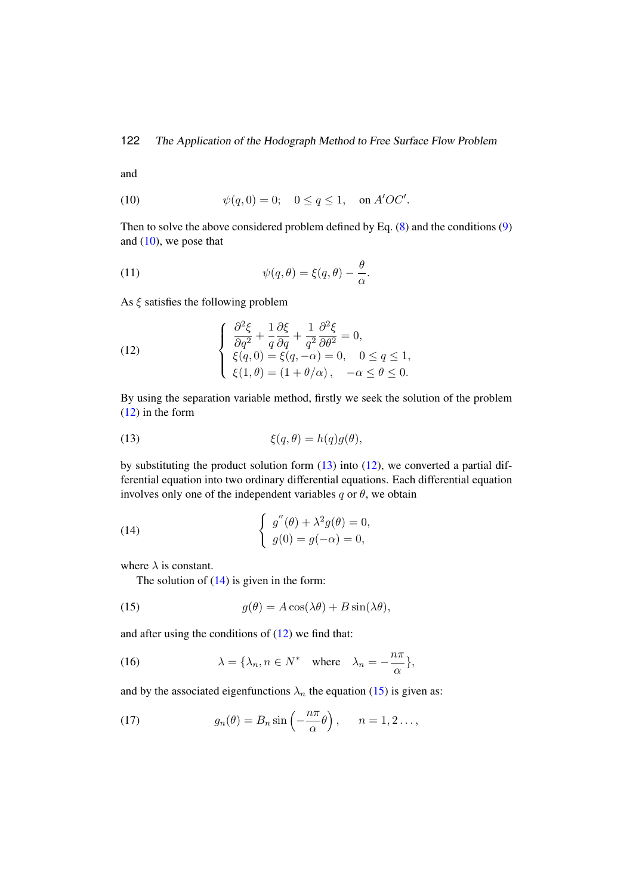and

<span id="page-4-0"></span>(10) 
$$
\psi(q, 0) = 0; \quad 0 \le q \le 1, \text{ on } A'OC'.
$$

Then to solve the above considered problem defined by Eq. [\(8\)](#page-3-2) and the conditions [\(9\)](#page-3-3) and  $(10)$ , we pose that

(11) 
$$
\psi(q,\theta) = \xi(q,\theta) - \frac{\theta}{\alpha}.
$$

As  $\xi$  satisfies the following problem

<span id="page-4-1"></span>(12) 
$$
\begin{cases} \frac{\partial^2 \xi}{\partial q^2} + \frac{1}{q} \frac{\partial \xi}{\partial q} + \frac{1}{q^2} \frac{\partial^2 \xi}{\partial \theta^2} = 0, \\ \xi(q, 0) = \xi(q, -\alpha) = 0, \quad 0 \le q \le 1, \\ \xi(1, \theta) = (1 + \theta/\alpha), \quad -\alpha \le \theta \le 0. \end{cases}
$$

By using the separation variable method, firstly we seek the solution of the problem [\(12\)](#page-4-1) in the form

<span id="page-4-2"></span>(13) 
$$
\xi(q,\theta) = h(q)g(\theta),
$$

by substituting the product solution form [\(13\)](#page-4-2) into [\(12\)](#page-4-1), we converted a partial differential equation into two ordinary differential equations. Each differential equation involves only one of the independent variables  $q$  or  $\theta$ , we obtain

(14) 
$$
\begin{cases} g''(\theta) + \lambda^2 g(\theta) = 0, \\ g(0) = g(-\alpha) = 0, \end{cases}
$$

where  $\lambda$  is constant.

<span id="page-4-4"></span><span id="page-4-3"></span>The solution of  $(14)$  is given in the form:

(15) 
$$
g(\theta) = A\cos(\lambda\theta) + B\sin(\lambda\theta),
$$

and after using the conditions of  $(12)$  we find that:

(16) 
$$
\lambda = \{\lambda_n, n \in N^* \text{ where } \lambda_n = -\frac{n\pi}{\alpha}\},
$$

and by the associated eigenfunctions  $\lambda_n$  the equation [\(15\)](#page-4-4) is given as:

(17) 
$$
g_n(\theta) = B_n \sin\left(-\frac{n\pi}{\alpha}\theta\right), \quad n = 1, 2 \ldots,
$$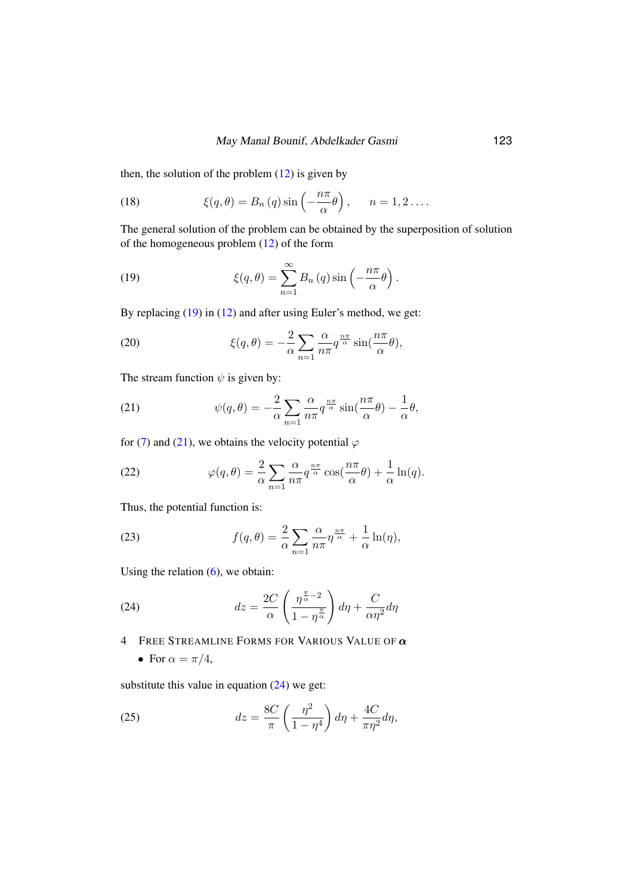then, the solution of the problem  $(12)$  is given by

(18) 
$$
\xi(q,\theta) = B_n(q) \sin\left(-\frac{n\pi}{\alpha}\theta\right), \quad n = 1, 2 \ldots.
$$

The general solution of the problem can be obtained by the superposition of solution of the homogeneous problem [\(12\)](#page-4-1) of the form

<span id="page-5-1"></span>(19) 
$$
\xi(q,\theta) = \sum_{n=1}^{\infty} B_n(q) \sin\left(-\frac{n\pi}{\alpha}\theta\right).
$$

By replacing [\(19\)](#page-5-1) in [\(12\)](#page-4-1) and after using Euler's method, we get:

(20) 
$$
\xi(q,\theta) = -\frac{2}{\alpha} \sum_{n=1}^{\infty} \frac{\alpha}{n\pi} q^{\frac{n\pi}{\alpha}} \sin(\frac{n\pi}{\alpha}\theta),
$$

The stream function  $\psi$  is given by:

<span id="page-5-2"></span>(21) 
$$
\psi(q,\theta) = -\frac{2}{\alpha} \sum_{n=1}^{\infty} \frac{\alpha}{n\pi} q^{\frac{n\pi}{\alpha}} \sin(\frac{n\pi}{\alpha}\theta) - \frac{1}{\alpha}\theta,
$$

for [\(7\)](#page-3-4) and [\(21\)](#page-5-2), we obtains the velocity potential  $\varphi$ 

(22) 
$$
\varphi(q,\theta) = \frac{2}{\alpha} \sum_{n=1}^{\infty} \frac{\alpha}{n\pi} q^{\frac{n\pi}{\alpha}} \cos(\frac{n\pi}{\alpha}\theta) + \frac{1}{\alpha} \ln(q).
$$

Thus, the potential function is:

(23) 
$$
f(q,\theta) = \frac{2}{\alpha} \sum_{n=1}^{\infty} \frac{\alpha}{n\pi} \eta^{\frac{n\pi}{\alpha}} + \frac{1}{\alpha} \ln(\eta),
$$

Using the relation  $(6)$ , we obtain:

(24) 
$$
dz = \frac{2C}{\alpha} \left( \frac{\eta^{\frac{\pi}{\alpha} - 2}}{1 - \eta^{\frac{\pi}{\alpha}}} \right) d\eta + \frac{C}{\alpha \eta^2} d\eta
$$

<span id="page-5-0"></span>4 FREE STREAMLINE FORMS FOR VARIOUS VALUE OF  $\alpha$ 

<span id="page-5-3"></span>• For  $\alpha = \pi/4$ ,

substitute this value in equation  $(24)$  we get:

(25) 
$$
dz = \frac{8C}{\pi} \left( \frac{\eta^2}{1 - \eta^4} \right) d\eta + \frac{4C}{\pi \eta^2} d\eta,
$$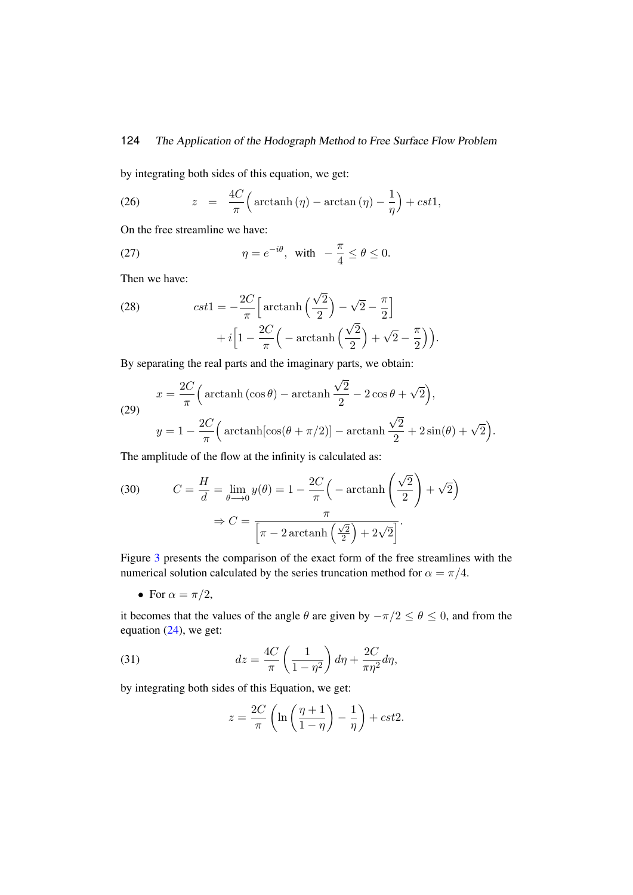# 124 The Application of the Hodograph Method to Free Surface Flow Problem

by integrating both sides of this equation, we get:

(26) 
$$
z = \frac{4C}{\pi} \Big( \arctanh(\eta) - \arctan(\eta) - \frac{1}{\eta} \Big) + cst1,
$$

On the free streamline we have:

(27) 
$$
\eta = e^{-i\theta}, \text{ with } -\frac{\pi}{4} \le \theta \le 0.
$$

Then we have:

(28) 
$$
cst1 = -\frac{2C}{\pi} \left[ \arctanh\left(\frac{\sqrt{2}}{2}\right) - \sqrt{2} - \frac{\pi}{2} \right] + i \left[ 1 - \frac{2C}{\pi} \left( -\arctanh\left(\frac{\sqrt{2}}{2}\right) + \sqrt{2} - \frac{\pi}{2} \right) \right).
$$

By separating the real parts and the imaginary parts, we obtain:

(29) 
$$
x = \frac{2C}{\pi} \left( \arctanh(\cos \theta) - \arctanh \frac{\sqrt{2}}{2} - 2\cos \theta + \sqrt{2} \right),
$$

$$
y = 1 - \frac{2C}{\pi} \left( \arctanh[\cos(\theta + \pi/2)] - \arctanh \frac{\sqrt{2}}{2} + 2\sin(\theta) + \sqrt{2} \right).
$$

The amplitude of the flow at the infinity is calculated as:

(30) 
$$
C = \frac{H}{d} = \lim_{\theta \to 0} y(\theta) = 1 - \frac{2C}{\pi} \left( -\arctanh\left(\frac{\sqrt{2}}{2}\right) + \sqrt{2} \right)
$$

$$
\Rightarrow C = \frac{\pi}{\left[ \pi - 2\arctanh\left(\frac{\sqrt{2}}{2}\right) + 2\sqrt{2} \right]}.
$$

Figure [3](#page-7-0) presents the comparison of the exact form of the free streamlines with the numerical solution calculated by the series truncation method for  $\alpha = \pi/4$ .

• For  $\alpha = \pi/2$ ,

it becomes that the values of the angle  $\theta$  are given by  $-\pi/2 \le \theta \le 0$ , and from the equation [\(24\)](#page-5-3), we get:

(31) 
$$
dz = \frac{4C}{\pi} \left( \frac{1}{1 - \eta^2} \right) d\eta + \frac{2C}{\pi \eta^2} d\eta,
$$

by integrating both sides of this Equation, we get:

$$
z = \frac{2C}{\pi} \left( \ln \left( \frac{\eta + 1}{1 - \eta} \right) - \frac{1}{\eta} \right) + cst2.
$$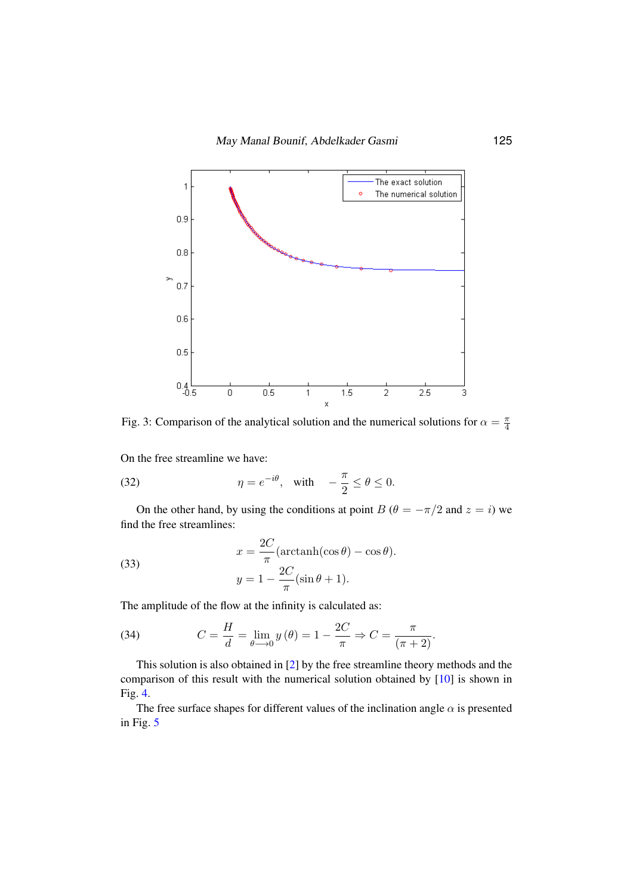<span id="page-7-0"></span>

Fig. 3: Comparison of the analytical solution and the numerical solutions for  $\alpha = \frac{\pi}{4}$ 4

On the free streamline we have:  $\tau$ 

(32) 
$$
\eta = e^{-i\theta}, \text{ with } -\frac{\pi}{2} \le \theta \le 0.
$$

On the other hand, by using the π 11<br>11 - Jan  $\overline{\phantom{a}}$ at point  $$ On the other hand, by using the conditions at point  $B(\theta = -\pi/2$  and  $z = i)$  we find the free streamlines:

(33) 
$$
x = \frac{2C}{\pi} (\arctanh(\cos \theta) - \cos \theta).
$$

$$
y = 1 - \frac{2C}{\pi} (\sin \theta + 1).
$$

π The amplitude of the flow at the infinity is calculated as:

(34) 
$$
C = \frac{H}{d} = \lim_{\theta \to 0} y(\theta) = 1 - \frac{2C}{\pi} \Rightarrow C = \frac{\pi}{(\pi + 2)}.
$$

This solution is also obtained in [\[2\]](#page-10-2) by the free streamline theory methods and the comparison of this result with the numerical solution obtained by  $[10]$  is shown in Fig. [4.](#page-8-0)

. 4.<br>The free surface shapes for different values of the inclination angle  $\alpha$  is presented in Fig. [5](#page-8-1)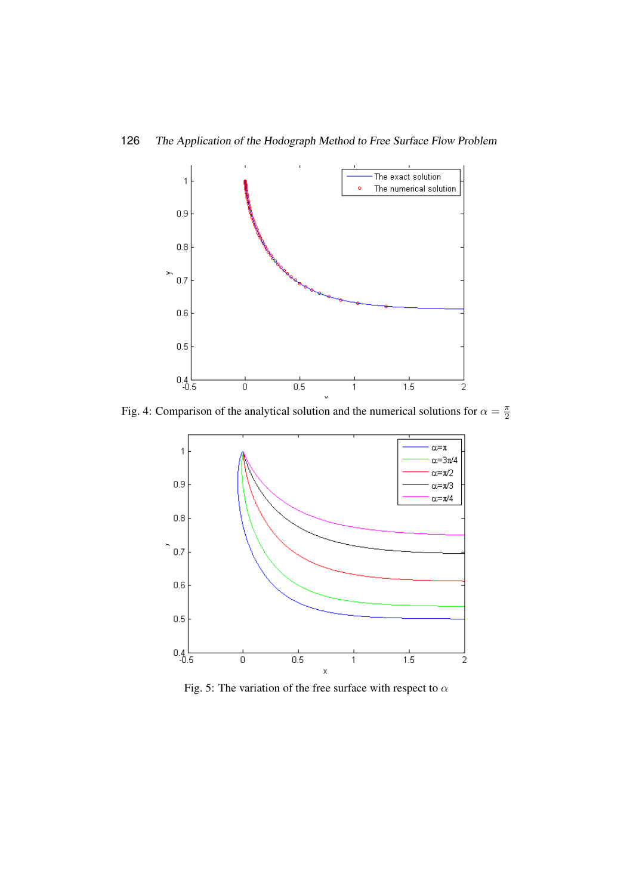

<span id="page-8-0"></span>

Fig. 4: Comparison of the analytical solution and the numerical solutions for  $\alpha = \frac{\pi}{2}$ 2

<span id="page-8-1"></span>

Fig. 5: The variation of the free surface with respect to  $\alpha$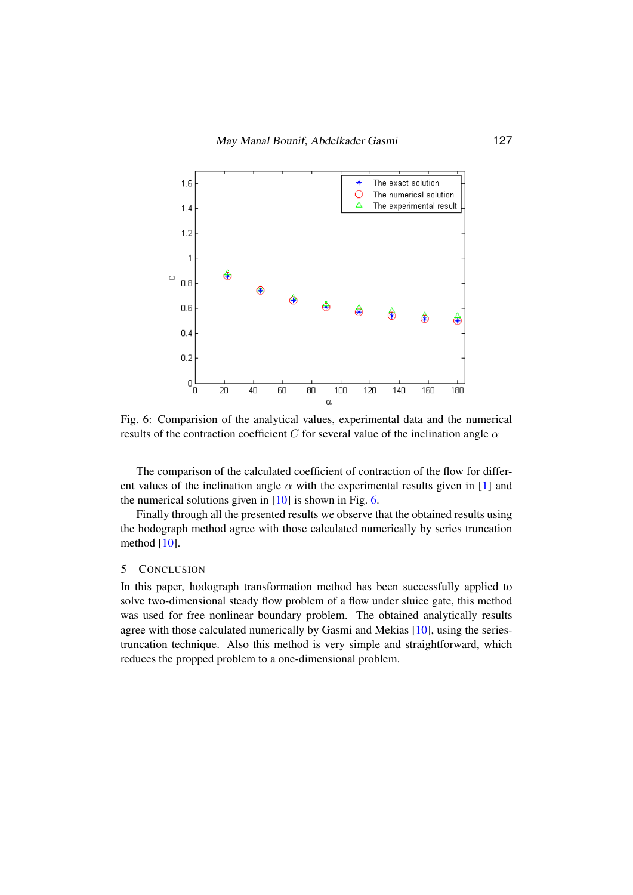<span id="page-9-1"></span>

Fig. 6: Comparision of the analytical values, experimental data and the numerical results of the contraction coefficient C for several value of the inclination angle  $\alpha$ 

The comparison of the calculated coefficient of contraction of the flow for different values of the inclination angle  $\alpha$  with the experimental results given in [\[1\]](#page-10-1) and the numerical solutions given in  $[10]$  is shown in Fig. [6.](#page-9-1)

Finally through all the presented results we observe that the obtained results using the hodograph method agree with those calculated numerically by series truncation method  $[10]$ .

### <span id="page-9-0"></span>5 CONCLUSION

In this paper, hodograph transformation method has been successfully applied to solve two-dimensional steady flow problem of a flow under sluice gate, this method was used for free nonlinear boundary problem. The obtained analytically results agree with those calculated numerically by Gasmi and Mekias [\[10\]](#page-10-10), using the seriestruncation technique. Also this method is very simple and straightforward, which reduces the propped problem to a one-dimensional problem.